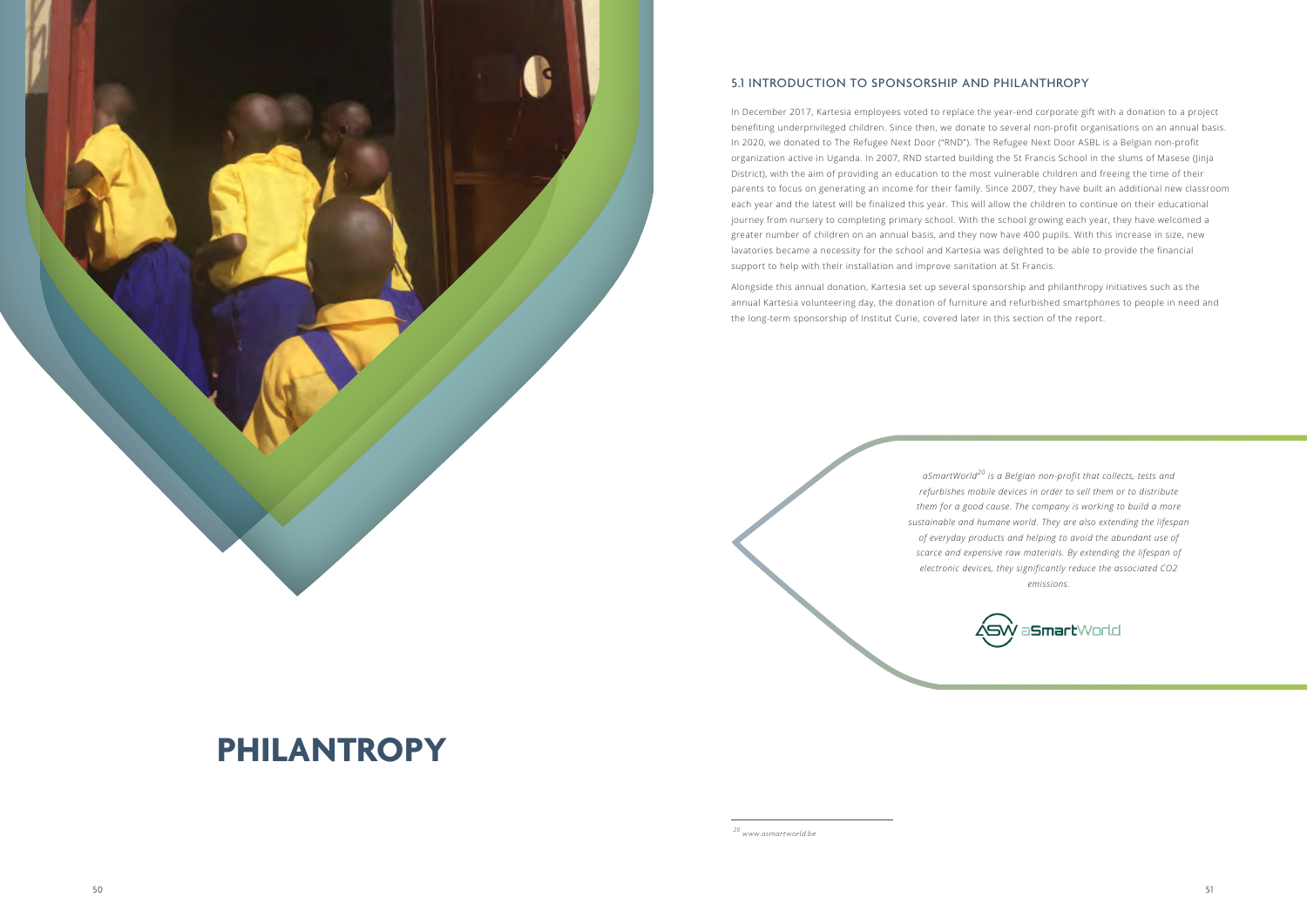# **PHILANTROPY**



# 5.1 INTRODUCTION TO SPONSORSHIP AND PHILANTHROPY

In December 2017, Kartesia employees voted to replace the year-end corporate gift with a donation to a project benefiting underprivileged children. Since then, we donate to several non-profit organisations on an annual basis. In 2020, we donated to The Refugee Next Door ("RND"). The Refugee Next Door ASBL is a Belgian non-profit organization active in Uganda. In 2007, RND started building the St Francis School in the slums of Masese (Jinja District), with the aim of providing an education to the most vulnerable children and freeing the time of their parents to focus on generating an income for their family. Since 2007, they have built an additional new classroom each year and the latest will be finalized this year. This will allow the children to continue on their educational journey from nursery to completing primary school. With the school growing each year, they have welcomed a greater number of children on an annual basis, and they now have 400 pupils. With this increase in size, new lavatories became a necessity for the school and Kartesia was delighted to be able to provide the financial support to help with their installation and improve sanitation at St Francis.

Alongside this annual donation, Kartesia set up several sponsorship and philanthropy initiatives such as the annual Kartesia volunteering day, the donation of furniture and refurbished smartphones to people in need and the long-term sponsorship of Institut Curie, covered later in this section of the report.

> *aSmartWorld20 is a Belgian non-profit that collects, tests and refurbishes mobile devices in order to sell them or to distribute them for a good cause. The company is working to build a more sustainable and humane world. They are also extending the lifespan of everyday products and helping to avoid the abundant use of scarce and expensive raw materials. By extending the lifespan of electronic devices, they significantly reduce the associated CO2 emissions.*

*20 www.asmartworld.be*